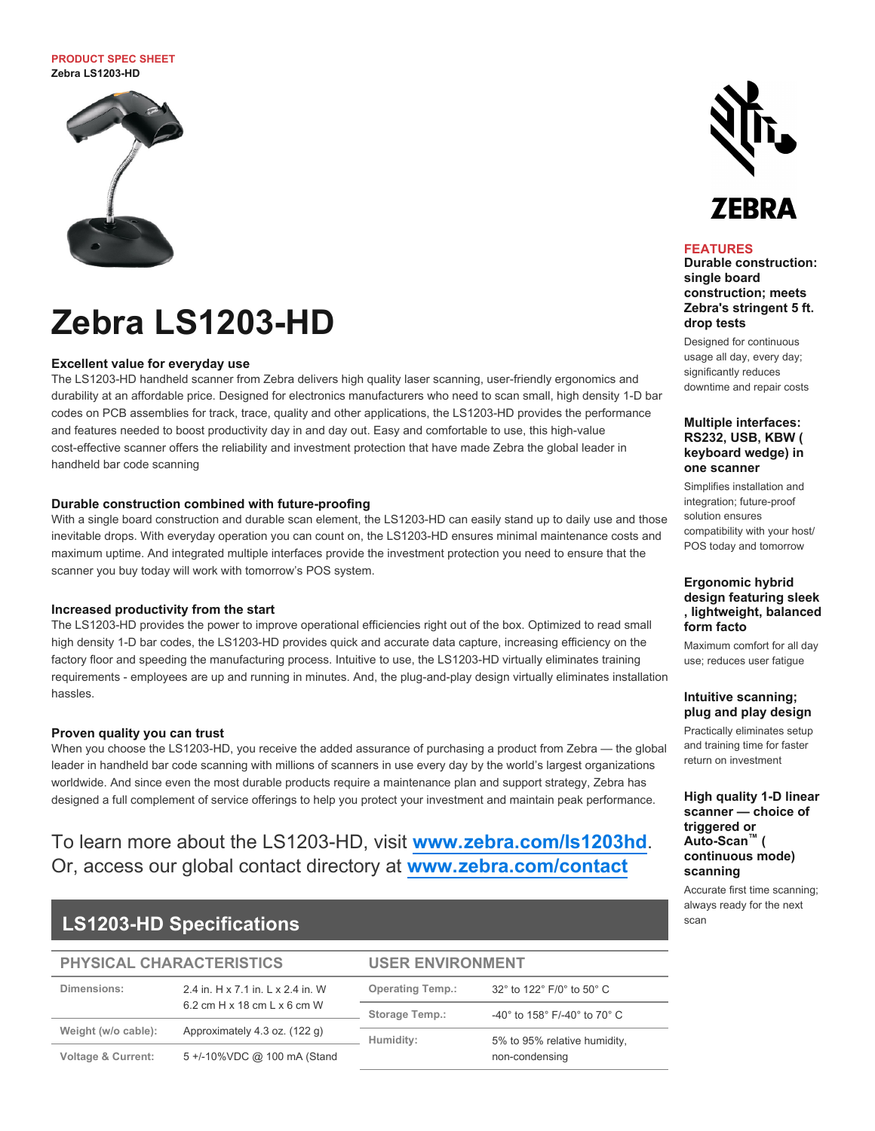### **PRODUCT SPEC SHEET Zebra LS1203-HD**



# **Zebra LS1203-HD**

# **Excellent value for everyday use**

The LS1203-HD handheld scanner from Zebra delivers high quality laser scanning, user-friendly ergonomics and durability at an affordable price. Designed for electronics manufacturers who need to scan small, high density 1-D bar codes on PCB assemblies for track, trace, quality and other applications, the LS1203-HD provides the performance and features needed to boost productivity day in and day out. Easy and comfortable to use, this high-value cost-effective scanner offers the reliability and investment protection that have made Zebra the global leader in handheld bar code scanning

# **Durable construction combined with future-proofing**

With a single board construction and durable scan element, the LS1203-HD can easily stand up to daily use and those inevitable drops. With everyday operation you can count on, the LS1203-HD ensures minimal maintenance costs and maximum uptime. And integrated multiple interfaces provide the investment protection you need to ensure that the scanner you buy today will work with tomorrow's POS system.

## **Increased productivity from the start**

The LS1203-HD provides the power to improve operational efficiencies right out of the box. Optimized to read small high density 1-D bar codes, the LS1203-HD provides quick and accurate data capture, increasing efficiency on the factory floor and speeding the manufacturing process. Intuitive to use, the LS1203-HD virtually eliminates training requirements - employees are up and running in minutes. And, the plug-and-play design virtually eliminates installation hassles.

## **Proven quality you can trust**

When you choose the LS1203-HD, you receive the added assurance of purchasing a product from Zebra — the global leader in handheld bar code scanning with millions of scanners in use every day by the world's largest organizations worldwide. And since even the most durable products require a maintenance plan and support strategy, Zebra has designed a full complement of service offerings to help you protect your investment and maintain peak performance.

# To learn more about the LS1203-HD, visit **[www.zebra.com/ls1203hd](http://www.zebra.com/ls1203hd)**. Or, access our global contact directory at **[www.zebra.com/contact](http://www.zebra.com/contact)**

# **LS1203-HD Specifications**

#### **PHYSICAL CHARACTERISTICS USER ENVIRONMENT**

| Dimensions:                   | 2.4 in, H x 7.1 in, L x 2.4 in, W<br>$6.2$ cm H $\times$ 18 cm L $\times$ 6 cm W | <b>Operating Temp.:</b> | 32° to 122° F/0° to 50° C                                            |
|-------------------------------|----------------------------------------------------------------------------------|-------------------------|----------------------------------------------------------------------|
|                               |                                                                                  | <b>Storage Temp.:</b>   | -40 $^{\circ}$ to 158 $^{\circ}$ F/-40 $^{\circ}$ to 70 $^{\circ}$ C |
| Weight (w/o cable):           | Approximately 4.3 oz. (122 g)                                                    | Humidity:               | 5% to 95% relative humidity,<br>non-condensing                       |
| <b>Voltage &amp; Current:</b> | 5 +/-10%VDC @ 100 mA (Stand                                                      |                         |                                                                      |

# ZEBRA

## **FEATURES**

**Durable construction: single board construction; meets Zebra's stringent 5 ft. drop tests**

Designed for continuous usage all day, every day; significantly reduces downtime and repair costs

# **Multiple interfaces: RS232, USB, KBW ( keyboard wedge) in one scanner**

Simplifies installation and integration; future-proof solution ensures compatibility with your host/ POS today and tomorrow

# **Ergonomic hybrid design featuring sleek , lightweight, balanced form facto**

Maximum comfort for all day use; reduces user fatigue

# **Intuitive scanning; plug and play design**

Practically eliminates setup and training time for faster return on investment

# **High quality 1-D linear scanner — choice of triggered or Auto-Scan™** ( **continuous mode) scanning**

Accurate first time scanning; always ready for the next scan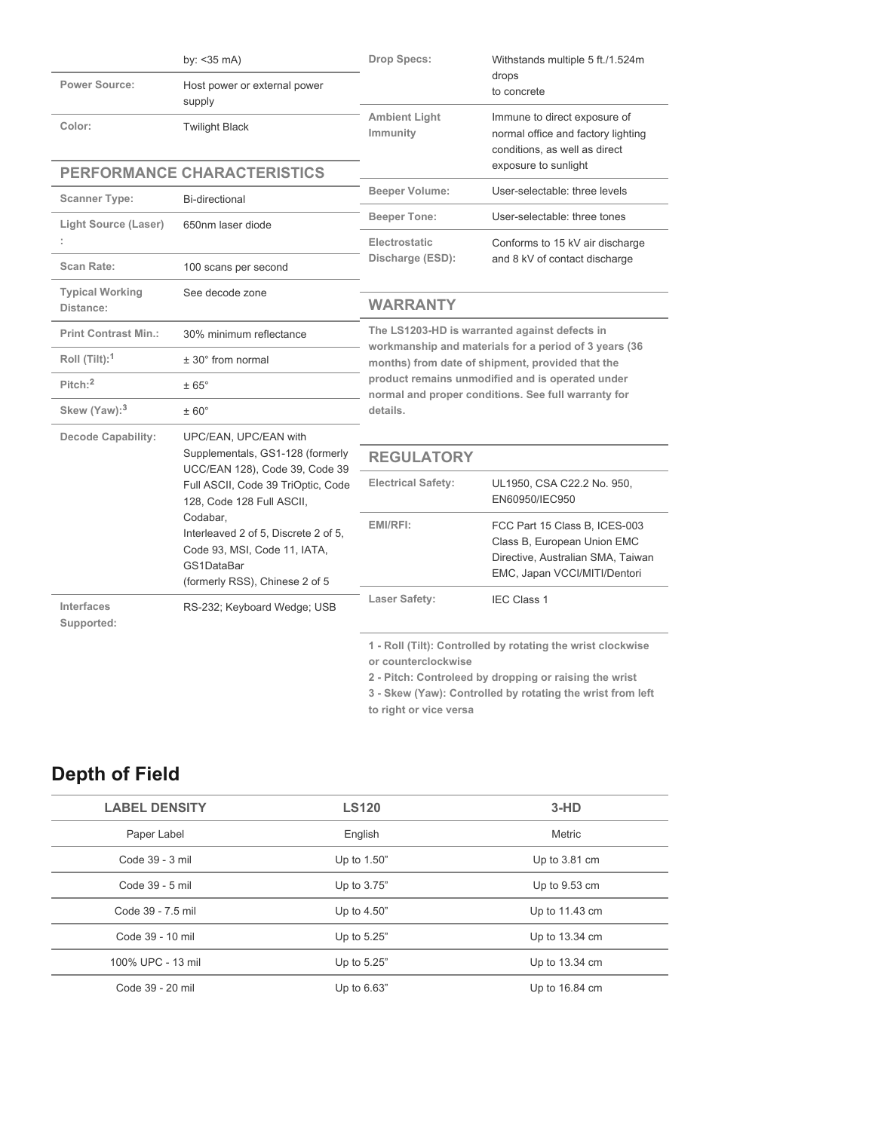|                                     | by: $<$ 35 mA)                                                                                                                                                                                                                                                                                     | Drop Specs:                                                                                                                                                                                                                                                                       | Withstands multiple 5 ft./1.524m                                                                                                                                                    |
|-------------------------------------|----------------------------------------------------------------------------------------------------------------------------------------------------------------------------------------------------------------------------------------------------------------------------------------------------|-----------------------------------------------------------------------------------------------------------------------------------------------------------------------------------------------------------------------------------------------------------------------------------|-------------------------------------------------------------------------------------------------------------------------------------------------------------------------------------|
| <b>Power Source:</b>                | Host power or external power<br>supply                                                                                                                                                                                                                                                             |                                                                                                                                                                                                                                                                                   | drops<br>to concrete                                                                                                                                                                |
| Color:                              | <b>Twilight Black</b>                                                                                                                                                                                                                                                                              | <b>Ambient Light</b><br>Immunity                                                                                                                                                                                                                                                  | Immune to direct exposure of<br>normal office and factory lighting<br>conditions, as well as direct                                                                                 |
|                                     | PERFORMANCE CHARACTERISTICS                                                                                                                                                                                                                                                                        |                                                                                                                                                                                                                                                                                   | exposure to sunlight                                                                                                                                                                |
| <b>Scanner Type:</b>                | Bi-directional                                                                                                                                                                                                                                                                                     | <b>Beeper Volume:</b>                                                                                                                                                                                                                                                             | User-selectable: three levels                                                                                                                                                       |
| <b>Light Source (Laser)</b>         | 650nm laser diode                                                                                                                                                                                                                                                                                  | <b>Beeper Tone:</b><br>Electrostatic                                                                                                                                                                                                                                              | User-selectable: three tones<br>Conforms to 15 kV air discharge                                                                                                                     |
| Scan Rate:                          | 100 scans per second                                                                                                                                                                                                                                                                               | Discharge (ESD):                                                                                                                                                                                                                                                                  | and 8 kV of contact discharge                                                                                                                                                       |
| <b>Typical Working</b><br>Distance: | See decode zone                                                                                                                                                                                                                                                                                    | <b>WARRANTY</b>                                                                                                                                                                                                                                                                   |                                                                                                                                                                                     |
| <b>Print Contrast Min.:</b>         | 30% minimum reflectance                                                                                                                                                                                                                                                                            | The LS1203-HD is warranted against defects in<br>workmanship and materials for a period of 3 years (36<br>months) from date of shipment, provided that the<br>product remains unmodified and is operated under<br>normal and proper conditions. See full warranty for<br>details. |                                                                                                                                                                                     |
| Roll $(Tilt):$ <sup>1</sup>         | $± 30°$ from normal                                                                                                                                                                                                                                                                                |                                                                                                                                                                                                                                                                                   |                                                                                                                                                                                     |
| $Pitch:$ <sup>2</sup>               | $\pm 65^{\circ}$                                                                                                                                                                                                                                                                                   |                                                                                                                                                                                                                                                                                   |                                                                                                                                                                                     |
| Skew (Yaw): <sup>3</sup>            | $± 60^\circ$                                                                                                                                                                                                                                                                                       |                                                                                                                                                                                                                                                                                   |                                                                                                                                                                                     |
| <b>Decode Capability:</b>           | UPC/EAN, UPC/EAN with<br>Supplementals, GS1-128 (formerly<br>UCC/EAN 128), Code 39, Code 39<br>Full ASCII, Code 39 TriOptic, Code<br>128, Code 128 Full ASCII,<br>Codabar,<br>Interleaved 2 of 5, Discrete 2 of 5,<br>Code 93, MSI, Code 11, IATA,<br>GS1DataBar<br>(formerly RSS), Chinese 2 of 5 |                                                                                                                                                                                                                                                                                   |                                                                                                                                                                                     |
|                                     |                                                                                                                                                                                                                                                                                                    | <b>REGULATORY</b>                                                                                                                                                                                                                                                                 |                                                                                                                                                                                     |
|                                     |                                                                                                                                                                                                                                                                                                    | <b>Electrical Safety:</b>                                                                                                                                                                                                                                                         | UL1950, CSA C22.2 No. 950,<br>EN60950/IEC950                                                                                                                                        |
|                                     |                                                                                                                                                                                                                                                                                                    | EMI/RFI:                                                                                                                                                                                                                                                                          | FCC Part 15 Class B, ICES-003<br>Class B, European Union EMC<br>Directive, Australian SMA, Taiwan<br>EMC, Japan VCCI/MITI/Dentori                                                   |
| Interfaces<br>Supported:            | RS-232; Keyboard Wedge; USB                                                                                                                                                                                                                                                                        | <b>Laser Safety:</b>                                                                                                                                                                                                                                                              | <b>IEC Class 1</b>                                                                                                                                                                  |
|                                     |                                                                                                                                                                                                                                                                                                    | or counterclockwise<br>to right or vice versa                                                                                                                                                                                                                                     | 1 - Roll (Tilt): Controlled by rotating the wrist clockwise<br>2 - Pitch: Controleed by dropping or raising the wrist<br>3 - Skew (Yaw): Controlled by rotating the wrist from left |

# **Depth of Field**

| <b>LABEL DENSITY</b> | <b>LS120</b> | $3-HD$          |
|----------------------|--------------|-----------------|
| Paper Label          | English      | Metric          |
| Code 39 - 3 mil      | Up to 1.50"  | Up to $3.81$ cm |
| Code 39 - 5 mil      | Up to 3.75"  | Up to 9.53 cm   |
| Code 39 - 7.5 mil    | Up to 4.50"  | Up to 11.43 cm  |
| Code 39 - 10 mil     | Up to 5.25"  | Up to 13.34 cm  |
| 100% UPC - 13 mil    | Up to 5.25"  | Up to 13.34 cm  |
| Code 39 - 20 mil     | Up to 6.63"  | Up to 16.84 cm  |
|                      |              |                 |